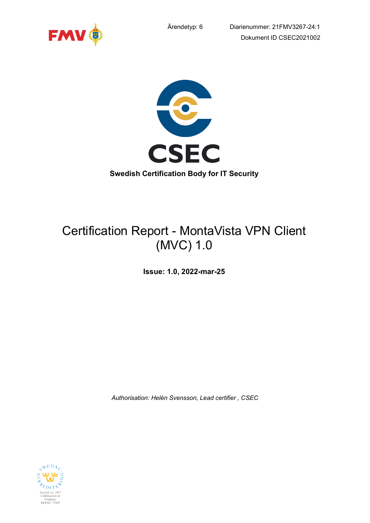





# Certification Report - MontaVista VPN Client (MVC) 1.0

Issue: 1.0, 2022-mar-25

Authorisation: Helén Svensson, Lead certifier , CSEC

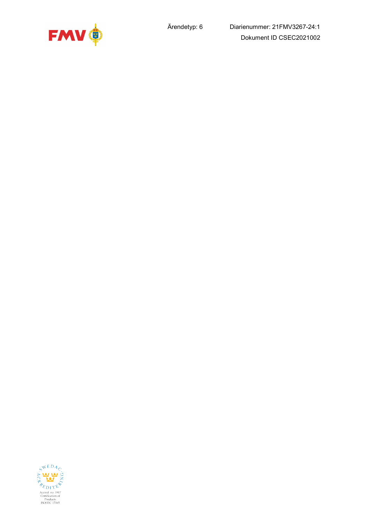



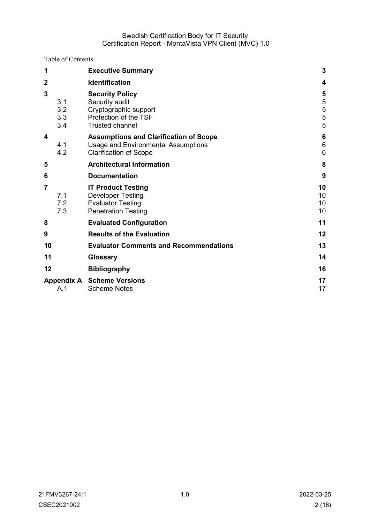Table of Contents

| 1                             | <b>Executive Summary</b>                                                                                                     | 3                             |
|-------------------------------|------------------------------------------------------------------------------------------------------------------------------|-------------------------------|
| $\mathbf 2$                   | Identification                                                                                                               | 4                             |
| 3<br>3.1<br>3.2<br>3.3<br>3.4 | <b>Security Policy</b><br>Security audit<br>Cryptographic support<br>Protection of the TSF<br><b>Trusted channel</b>         | 5<br>$\frac{5}{5}$<br>5<br>5  |
| 4<br>4.1<br>4.2               | <b>Assumptions and Clarification of Scope</b><br><b>Usage and Environmental Assumptions</b><br><b>Clarification of Scope</b> | 6<br>$\,6$<br>$6\phantom{1}6$ |
| 5                             | <b>Architectural Information</b>                                                                                             | 8                             |
| 6                             | <b>Documentation</b>                                                                                                         | 9                             |
| 7<br>7.1<br>7.2<br>7.3        | <b>IT Product Testing</b><br><b>Developer Testing</b><br><b>Evaluator Testing</b><br><b>Penetration Testing</b>              | 10<br>10<br>10<br>10          |
| 8                             | <b>Evaluated Configuration</b>                                                                                               | 11                            |
| 9                             | <b>Results of the Evaluation</b>                                                                                             | 12                            |
| 10                            | <b>Evaluator Comments and Recommendations</b>                                                                                | 13                            |
| 11                            | Glossary                                                                                                                     | 14                            |
| 12                            | <b>Bibliography</b>                                                                                                          | 16                            |
| A.1                           | <b>Appendix A Scheme Versions</b><br><b>Scheme Notes</b>                                                                     | 17<br>17                      |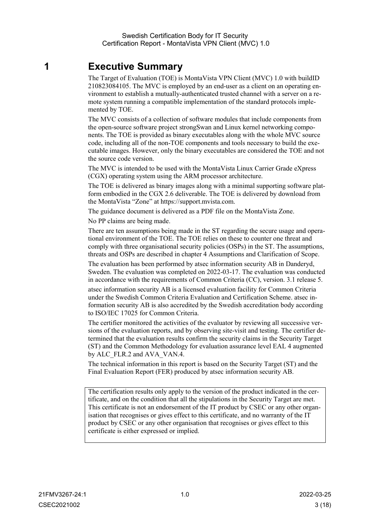## 1 Executive Summary

The Target of Evaluation (TOE) is MontaVista VPN Client (MVC) 1.0 with buildID 210823084105. The MVC is employed by an end-user as a client on an operating environment to establish a mutually-authenticated trusted channel with a server on a remote system running a compatible implementation of the standard protocols implemented by TOE.

The MVC consists of a collection of software modules that include components from the open-source software project strongSwan and Linux kernel networking components. The TOE is provided as binary executables along with the whole MVC source code, including all of the non-TOE components and tools necessary to build the executable images. However, only the binary executables are considered the TOE and not the source code version.

The MVC is intended to be used with the MontaVista Linux Carrier Grade eXpress (CGX) operating system using the ARM processor architecture.

The TOE is delivered as binary images along with a minimal supporting software platform embodied in the CGX 2.6 deliverable. The TOE is delivered by download from the MontaVista "Zone" at https://support.mvista.com.

The guidance document is delivered as a PDF file on the MontaVista Zone.

No PP claims are being made.

There are ten assumptions being made in the ST regarding the secure usage and operational environment of the TOE. The TOE relies on these to counter one threat and comply with three organisational security policies (OSPs) in the ST. The assumptions, threats and OSPs are described in chapter 4 Assumptions and Clarification of Scope.

The evaluation has been performed by atsec information security AB in Danderyd, Sweden. The evaluation was completed on 2022-03-17. The evaluation was conducted in accordance with the requirements of Common Criteria (CC), version. 3.1 release 5. atsec information security AB is a licensed evaluation facility for Common Criteria under the Swedish Common Criteria Evaluation and Certification Scheme. atsec information security AB is also accredited by the Swedish accreditation body according to ISO/IEC 17025 for Common Criteria.

The certifier monitored the activities of the evaluator by reviewing all successive versions of the evaluation reports, and by observing site-visit and testing. The certifier determined that the evaluation results confirm the security claims in the Security Target (ST) and the Common Methodology for evaluation assurance level EAL 4 augmented by ALC\_FLR.2 and AVA\_VAN.4.

The technical information in this report is based on the Security Target (ST) and the Final Evaluation Report (FER) produced by atsec information security AB.

The certification results only apply to the version of the product indicated in the certificate, and on the condition that all the stipulations in the Security Target are met. This certificate is not an endorsement of the IT product by CSEC or any other organisation that recognises or gives effect to this certificate, and no warranty of the IT product by CSEC or any other organisation that recognises or gives effect to this certificate is either expressed or implied.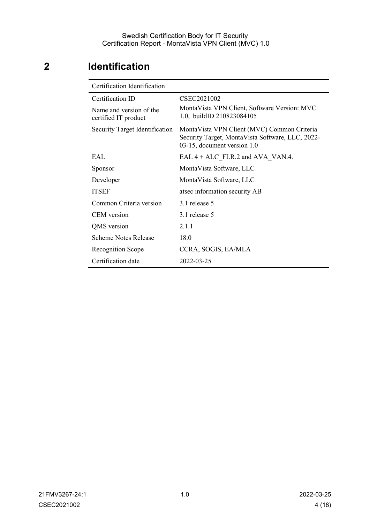# 2 Identification

| Certification Identification                    |                                                                                                                                 |  |
|-------------------------------------------------|---------------------------------------------------------------------------------------------------------------------------------|--|
| Certification ID                                | CSEC2021002                                                                                                                     |  |
| Name and version of the<br>certified IT product | MontaVista VPN Client, Software Version: MVC<br>1.0, buildID 210823084105                                                       |  |
| Security Target Identification                  | Monta Vista VPN Client (MVC) Common Criteria<br>Security Target, MontaVista Software, LLC, 2022-<br>03-15, document version 1.0 |  |
| EAL                                             | EAL $4 +$ ALC FLR.2 and AVA VAN.4.                                                                                              |  |
| Sponsor                                         | Monta Vista Software, LLC                                                                                                       |  |
| Developer                                       | MontaVista Software, LLC                                                                                                        |  |
| <b>ITSEF</b>                                    | atsec information security AB                                                                                                   |  |
| Common Criteria version                         | 3.1 release 5                                                                                                                   |  |
| CEM version                                     | 3.1 release 5                                                                                                                   |  |
| QMS version                                     | 2.1.1                                                                                                                           |  |
| <b>Scheme Notes Release</b>                     | 18.0                                                                                                                            |  |
| Recognition Scope                               | CCRA, SOGIS, EA/MLA                                                                                                             |  |
| Certification date                              | 2022-03-25                                                                                                                      |  |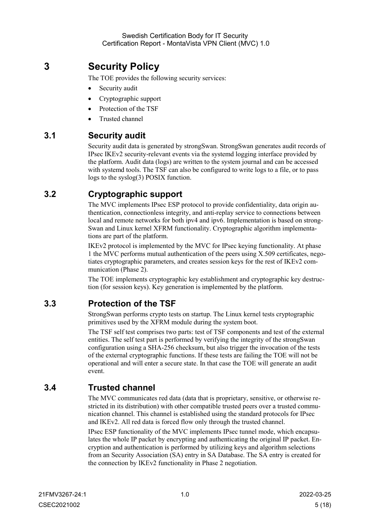## 3 Security Policy

The TOE provides the following security services:

- Security audit
- Cryptographic support
- Protection of the TSF
- Trusted channel

#### 3.1 Security audit

Security audit data is generated by strongSwan. StrongSwan generates audit records of IPsec IKEv2 security-relevant events via the systemd logging interface provided by the platform. Audit data (logs) are written to the system journal and can be accessed with systemd tools. The TSF can also be configured to write logs to a file, or to pass logs to the syslog(3) POSIX function.

#### 3.2 Cryptographic support

The MVC implements IPsec ESP protocol to provide confidentiality, data origin authentication, connectionless integrity, and anti-replay service to connections between local and remote networks for both ipv4 and ipv6. Implementation is based on strong-Swan and Linux kernel XFRM functionality. Cryptographic algorithm implementations are part of the platform.

IKEv2 protocol is implemented by the MVC for IPsec keying functionality. At phase 1 the MVC performs mutual authentication of the peers using X.509 certificates, negotiates cryptographic parameters, and creates session keys for the rest of IKEv2 communication (Phase 2).

The TOE implements cryptographic key establishment and cryptographic key destruction (for session keys). Key generation is implemented by the platform.

#### 3.3 Protection of the TSF

StrongSwan performs crypto tests on startup. The Linux kernel tests cryptographic primitives used by the XFRM module during the system boot.

The TSF self test comprises two parts: test of TSF components and test of the external entities. The self test part is performed by verifying the integrity of the strongSwan configuration using a SHA-256 checksum, but also trigger the invocation of the tests of the external cryptographic functions. If these tests are failing the TOE will not be operational and will enter a secure state. In that case the TOE will generate an audit event.

#### 3.4 Trusted channel

The MVC communicates red data (data that is proprietary, sensitive, or otherwise restricted in its distribution) with other compatible trusted peers over a trusted communication channel. This channel is established using the standard protocols for IPsec and IKEv2. All red data is forced flow only through the trusted channel.

IPsec ESP functionality of the MVC implements IPsec tunnel mode, which encapsulates the whole IP packet by encrypting and authenticating the original IP packet. Encryption and authentication is performed by utilizing keys and algorithm selections from an Security Association (SA) entry in SA Database. The SA entry is created for the connection by IKEv2 functionality in Phase 2 negotiation.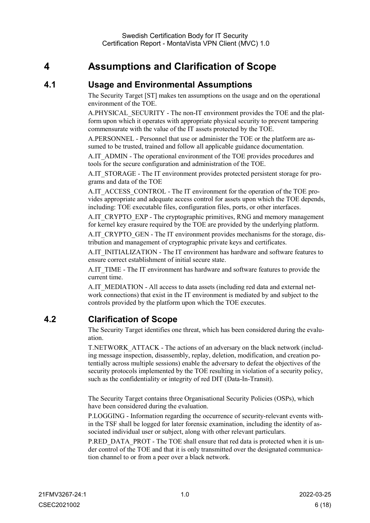## 4 Assumptions and Clarification of Scope

#### 4.1 Usage and Environmental Assumptions

The Security Target [ST] makes ten assumptions on the usage and on the operational environment of the TOE.

A.PHYSICAL\_SECURITY - The non-IT environment provides the TOE and the platform upon which it operates with appropriate physical security to prevent tampering commensurate with the value of the IT assets protected by the TOE.

A.PERSONNEL - Personnel that use or administer the TOE or the platform are assumed to be trusted, trained and follow all applicable guidance documentation.

A.IT\_ADMIN - The operational environment of the TOE provides procedures and tools for the secure configuration and administration of the TOE.

A.IT\_STORAGE - The IT environment provides protected persistent storage for programs and data of the TOE

A.IT\_ACCESS\_CONTROL - The IT environment for the operation of the TOE provides appropriate and adequate access control for assets upon which the TOE depends, including: TOE executable files, configuration files, ports, or other interfaces.

A.IT\_CRYPTO\_EXP - The cryptographic primitives, RNG and memory management for kernel key erasure required by the TOE are provided by the underlying platform.

A.IT\_CRYPTO\_GEN - The IT environment provides mechanisms for the storage, distribution and management of cryptographic private keys and certificates.

A.IT\_INITIALIZATION - The IT environment has hardware and software features to ensure correct establishment of initial secure state.

A.IT\_TIME - The IT environment has hardware and software features to provide the current time.

A.IT\_MEDIATION - All access to data assets (including red data and external network connections) that exist in the IT environment is mediated by and subject to the controls provided by the platform upon which the TOE executes.

#### 4.2 Clarification of Scope

The Security Target identifies one threat, which has been considered during the evaluation.

T.NETWORK\_ATTACK - The actions of an adversary on the black network (including message inspection, disassembly, replay, deletion, modification, and creation potentially across multiple sessions) enable the adversary to defeat the objectives of the security protocols implemented by the TOE resulting in violation of a security policy, such as the confidentiality or integrity of red DIT (Data-In-Transit).

The Security Target contains three Organisational Security Policies (OSPs), which have been considered during the evaluation.

P.LOGGING - Information regarding the occurrence of security-relevant events within the TSF shall be logged for later forensic examination, including the identity of associated individual user or subject, along with other relevant particulars.

P.RED\_DATA\_PROT - The TOE shall ensure that red data is protected when it is under control of the TOE and that it is only transmitted over the designated communication channel to or from a peer over a black network.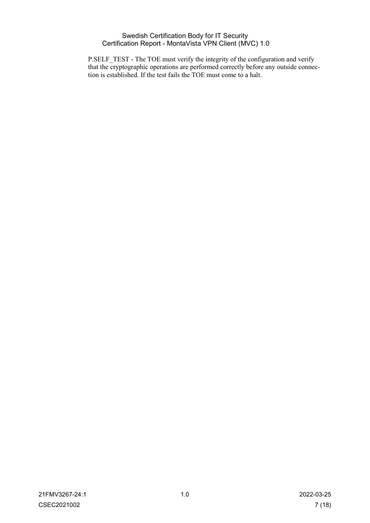P.SELF\_TEST - The TOE must verify the integrity of the configuration and verify that the cryptographic operations are performed correctly before any outside connection is established. If the test fails the TOE must come to a halt.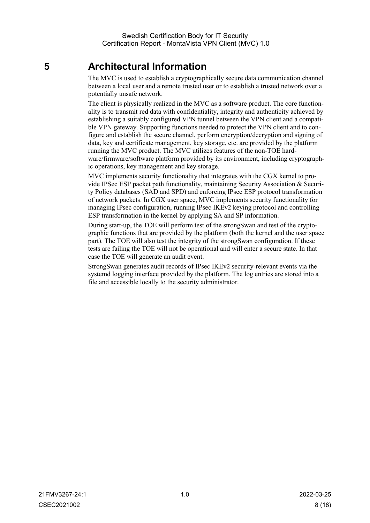## 5 Architectural Information

The MVC is used to establish a cryptographically secure data communication channel between a local user and a remote trusted user or to establish a trusted network over a potentially unsafe network.

The client is physically realized in the MVC as a software product. The core functionality is to transmit red data with confidentiality, integrity and authenticity achieved by establishing a suitably configured VPN tunnel between the VPN client and a compatible VPN gateway. Supporting functions needed to protect the VPN client and to configure and establish the secure channel, perform encryption/decryption and signing of data, key and certificate management, key storage, etc. are provided by the platform running the MVC product. The MVC utilizes features of the non-TOE hardware/firmware/software platform provided by its environment, including cryptographic operations, key management and key storage.

MVC implements security functionality that integrates with the CGX kernel to provide IPSec ESP packet path functionality, maintaining Security Association & Security Policy databases (SAD and SPD) and enforcing IPsec ESP protocol transformation of network packets. In CGX user space, MVC implements security functionality for managing IPsec configuration, running IPsec IKEv2 keying protocol and controlling ESP transformation in the kernel by applying SA and SP information.

During start-up, the TOE will perform test of the strongSwan and test of the cryptographic functions that are provided by the platform (both the kernel and the user space part). The TOE will also test the integrity of the strongSwan configuration. If these tests are failing the TOE will not be operational and will enter a secure state. In that case the TOE will generate an audit event.

StrongSwan generates audit records of IPsec IKEv2 security-relevant events via the systemd logging interface provided by the platform. The log entries are stored into a file and accessible locally to the security administrator.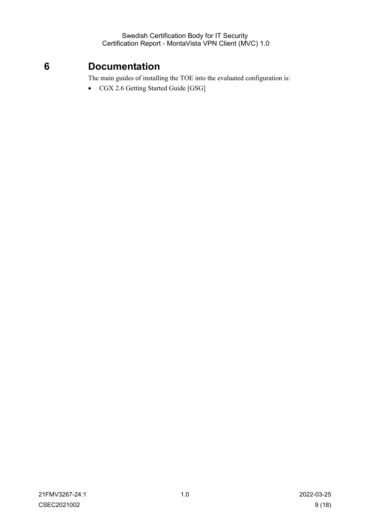## 6 Documentation

The main guides of installing the TOE into the evaluated configuration is:

• CGX 2.6 Getting Started Guide [GSG]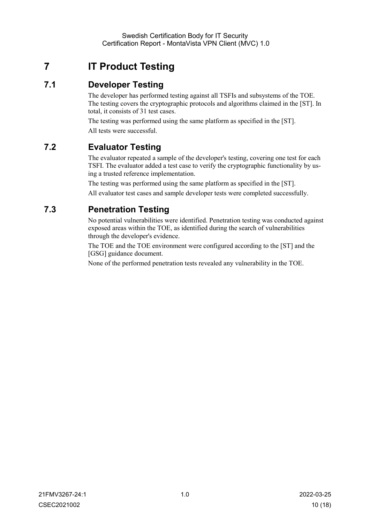## 7 IT Product Testing

### 7.1 Developer Testing

The developer has performed testing against all TSFIs and subsystems of the TOE. The testing covers the cryptographic protocols and algorithms claimed in the [ST]. In total, it consists of 31 test cases.

The testing was performed using the same platform as specified in the [ST]. All tests were successful.

### 7.2 Evaluator Testing

The evaluator repeated a sample of the developer's testing, covering one test for each TSFI. The evaluator added a test case to verify the cryptographic functionality by using a trusted reference implementation.

The testing was performed using the same platform as specified in the [ST]. All evaluator test cases and sample developer tests were completed successfully.

### 7.3 Penetration Testing

No potential vulnerabilities were identified. Penetration testing was conducted against exposed areas within the TOE, as identified during the search of vulnerabilities through the developer's evidence.

The TOE and the TOE environment were configured according to the [ST] and the [GSG] guidance document.

None of the performed penetration tests revealed any vulnerability in the TOE.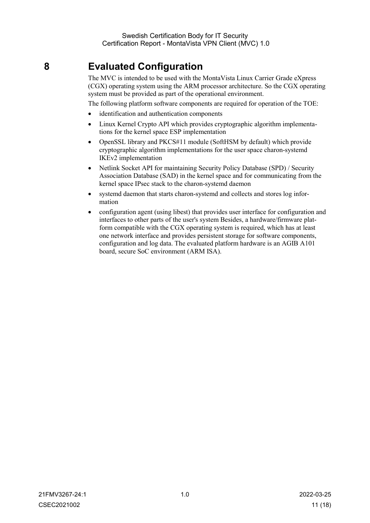## 8 Evaluated Configuration

The MVC is intended to be used with the MontaVista Linux Carrier Grade eXpress (CGX) operating system using the ARM processor architecture. So the CGX operating system must be provided as part of the operational environment.

The following platform software components are required for operation of the TOE:

- identification and authentication components
- Linux Kernel Crypto API which provides cryptographic algorithm implementations for the kernel space ESP implementation
- OpenSSL library and PKCS#11 module (SoftHSM by default) which provide cryptographic algorithm implementations for the user space charon-systemd IKEv2 implementation
- Netlink Socket API for maintaining Security Policy Database (SPD) / Security Association Database (SAD) in the kernel space and for communicating from the kernel space IPsec stack to the charon-systemd daemon
- systemd daemon that starts charon-systemd and collects and stores log information
- configuration agent (using libest) that provides user interface for configuration and interfaces to other parts of the user's system Besides, a hardware/firmware platform compatible with the CGX operating system is required, which has at least one network interface and provides persistent storage for software components, configuration and log data. The evaluated platform hardware is an AGIB A101 board, secure SoC environment (ARM ISA).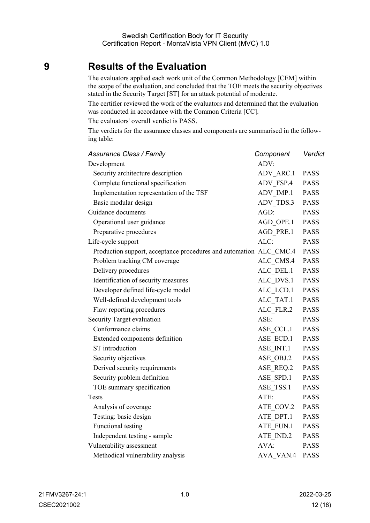## 9 Results of the Evaluation

The evaluators applied each work unit of the Common Methodology [CEM] within the scope of the evaluation, and concluded that the TOE meets the security objectives stated in the Security Target [ST] for an attack potential of moderate.

The certifier reviewed the work of the evaluators and determined that the evaluation was conducted in accordance with the Common Criteria [CC].

The evaluators' overall verdict is PASS.

The verdicts for the assurance classes and components are summarised in the following table:

| <b>Assurance Class / Family</b>                                    | Component | Verdict     |
|--------------------------------------------------------------------|-----------|-------------|
| Development                                                        | ADV:      |             |
| Security architecture description                                  | ADV ARC.1 | <b>PASS</b> |
| Complete functional specification                                  | ADV FSP.4 | <b>PASS</b> |
| Implementation representation of the TSF                           | ADV IMP.1 | <b>PASS</b> |
| Basic modular design                                               | ADV TDS.3 | <b>PASS</b> |
| Guidance documents                                                 | AGD:      | <b>PASS</b> |
| Operational user guidance                                          | AGD_OPE.1 | <b>PASS</b> |
| Preparative procedures                                             | AGD PRE.1 | <b>PASS</b> |
| Life-cycle support                                                 | ALC:      | <b>PASS</b> |
| Production support, acceptance procedures and automation ALC CMC.4 |           | <b>PASS</b> |
| Problem tracking CM coverage                                       | ALC CMS.4 | <b>PASS</b> |
| Delivery procedures                                                | ALC DEL.1 | <b>PASS</b> |
| Identification of security measures                                | ALC DVS.1 | <b>PASS</b> |
| Developer defined life-cycle model                                 | ALC LCD.1 | <b>PASS</b> |
| Well-defined development tools                                     | ALC TAT.1 | <b>PASS</b> |
| Flaw reporting procedures                                          | ALC FLR.2 | <b>PASS</b> |
| Security Target evaluation                                         | ASE:      | <b>PASS</b> |
| Conformance claims                                                 | ASE CCL.1 | <b>PASS</b> |
| Extended components definition                                     | ASE ECD.1 | <b>PASS</b> |
| ST introduction                                                    | ASE INT.1 | <b>PASS</b> |
| Security objectives                                                | ASE OBJ.2 | <b>PASS</b> |
| Derived security requirements                                      | ASE REQ.2 | <b>PASS</b> |
| Security problem definition                                        | ASE SPD.1 | <b>PASS</b> |
| TOE summary specification                                          | ASE TSS.1 | <b>PASS</b> |
| <b>Tests</b>                                                       | ATE:      | <b>PASS</b> |
| Analysis of coverage                                               | ATE COV.2 | <b>PASS</b> |
| Testing: basic design                                              | ATE DPT.1 | <b>PASS</b> |
| Functional testing                                                 | ATE FUN.1 | <b>PASS</b> |
| Independent testing - sample                                       | ATE IND.2 | <b>PASS</b> |
| Vulnerability assessment                                           | AVA:      | <b>PASS</b> |
| Methodical vulnerability analysis                                  | AVA VAN.4 | <b>PASS</b> |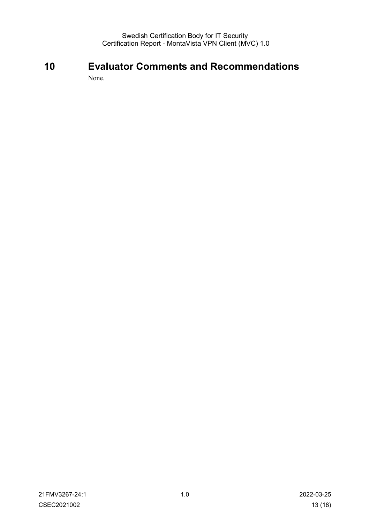# 10 Evaluator Comments and Recommendations

None.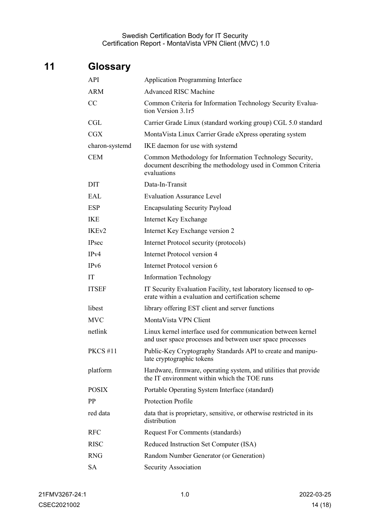# 11 Glossary

| API               | <b>Application Programming Interface</b>                                                                                              |
|-------------------|---------------------------------------------------------------------------------------------------------------------------------------|
| <b>ARM</b>        | <b>Advanced RISC Machine</b>                                                                                                          |
| CC                | Common Criteria for Information Technology Security Evalua-<br>tion Version 3.1r5                                                     |
| CGL               | Carrier Grade Linux (standard working group) CGL 5.0 standard                                                                         |
| CGX               | Monta Vista Linux Carrier Grade eXpress operating system                                                                              |
| charon-systemd    | IKE daemon for use with systemd                                                                                                       |
| CEM               | Common Methodology for Information Technology Security,<br>document describing the methodology used in Common Criteria<br>evaluations |
| DIT               | Data-In-Transit                                                                                                                       |
| <b>EAL</b>        | <b>Evaluation Assurance Level</b>                                                                                                     |
| <b>ESP</b>        | <b>Encapsulating Security Payload</b>                                                                                                 |
| IKE               | Internet Key Exchange                                                                                                                 |
| IKE <sub>v2</sub> | Internet Key Exchange version 2                                                                                                       |
| IPsec             | Internet Protocol security (protocols)                                                                                                |
| IPv4              | <b>Internet Protocol version 4</b>                                                                                                    |
| IP <sub>v</sub> 6 | Internet Protocol version 6                                                                                                           |
| IT                | <b>Information Technology</b>                                                                                                         |
| <b>ITSEF</b>      | IT Security Evaluation Facility, test laboratory licensed to op-<br>erate within a evaluation and certification scheme                |
| libest            | library offering EST client and server functions                                                                                      |
| <b>MVC</b>        | MontaVista VPN Client                                                                                                                 |
| netlink           | Linux kernel interface used for communication between kernel<br>and user space processes and between user space processes             |
| <b>PKCS #11</b>   | Public-Key Cryptography Standards API to create and manipu-<br>late cryptographic tokens                                              |
| platform          | Hardware, firmware, operating system, and utilities that provide<br>the IT environment within which the TOE runs                      |
| POSIX             | Portable Operating System Interface (standard)                                                                                        |
| PP                | Protection Profile                                                                                                                    |
| red data          | data that is proprietary, sensitive, or otherwise restricted in its<br>distribution                                                   |
| <b>RFC</b>        | <b>Request For Comments (standards)</b>                                                                                               |
| <b>RISC</b>       | Reduced Instruction Set Computer (ISA)                                                                                                |
| <b>RNG</b>        | Random Number Generator (or Generation)                                                                                               |
| SA                | Security Association                                                                                                                  |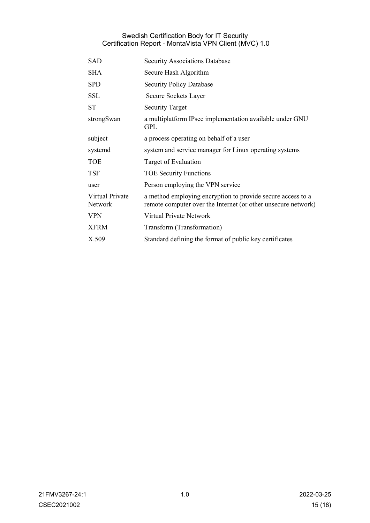| SAD                        | <b>Security Associations Database</b>                                                                                        |
|----------------------------|------------------------------------------------------------------------------------------------------------------------------|
| SHA                        | Secure Hash Algorithm                                                                                                        |
| SPD                        | <b>Security Policy Database</b>                                                                                              |
| SSL                        | Secure Sockets Layer                                                                                                         |
| <b>ST</b>                  | <b>Security Target</b>                                                                                                       |
| strongSwan                 | a multiplatform IPsec implementation available under GNU<br><b>GPL</b>                                                       |
| subject                    | a process operating on behalf of a user                                                                                      |
| systemd                    | system and service manager for Linux operating systems                                                                       |
| TOE                        | Target of Evaluation                                                                                                         |
| <b>TSF</b>                 | <b>TOE Security Functions</b>                                                                                                |
| user                       | Person employing the VPN service                                                                                             |
| Virtual Private<br>Network | a method employing encryption to provide secure access to a<br>remote computer over the Internet (or other unsecure network) |
| <b>VPN</b>                 | Virtual Private Network                                                                                                      |
| XFRM                       | Transform (Transformation)                                                                                                   |
| X.509                      | Standard defining the format of public key certificates                                                                      |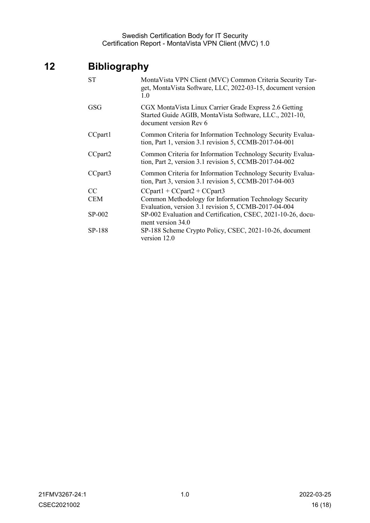# 12 Bibliography

| ST         | MontaVista VPN Client (MVC) Common Criteria Security Tar-<br>get, MontaVista Software, LLC, 2022-03-15, document version<br>1.0             |
|------------|---------------------------------------------------------------------------------------------------------------------------------------------|
| GSG        | CGX MontaVista Linux Carrier Grade Express 2.6 Getting<br>Started Guide AGIB, MontaVista Software, LLC., 2021-10,<br>document version Rev 6 |
| CCpart1    | Common Criteria for Information Technology Security Evalua-<br>tion, Part 1, version 3.1 revision 5, CCMB-2017-04-001                       |
| CCpart2    | Common Criteria for Information Technology Security Evalua-<br>tion, Part 2, version 3.1 revision 5, CCMB-2017-04-002                       |
| CCpart3    | Common Criteria for Information Technology Security Evalua-<br>tion, Part 3, version 3.1 revision 5, CCMB-2017-04-003                       |
| CC         | $CCpart1 + CCpart2 + CCpart3$                                                                                                               |
| <b>CEM</b> | Common Methodology for Information Technology Security<br>Evaluation, version 3.1 revision 5, CCMB-2017-04-004                              |
| SP-002     | SP-002 Evaluation and Certification, CSEC, 2021-10-26, docu-<br>ment version 34.0                                                           |
| SP-188     | SP-188 Scheme Crypto Policy, CSEC, 2021-10-26, document<br>version 12.0                                                                     |